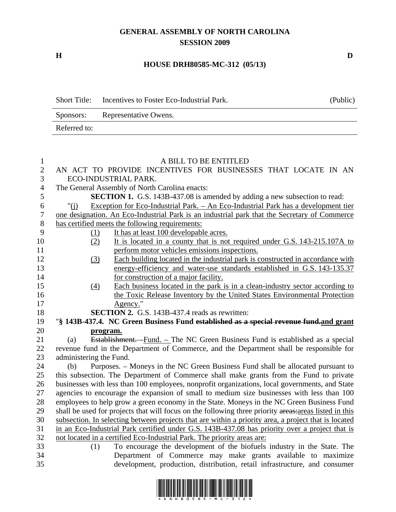## **GENERAL ASSEMBLY OF NORTH CAROLINA SESSION 2009**

**H D** 

## **HOUSE DRH80585-MC-312 (05/13)**

| <b>Short Title:</b> | Incentives to Foster Eco-Industrial Park. | (Public) |
|---------------------|-------------------------------------------|----------|
| Sponsors:           | Representative Owens.                     |          |
| Referred to:        |                                           |          |

## 1 A BILL TO BE ENTITLED 2 AN ACT TO PROVIDE INCENTIVES FOR BUSINESSES THAT LOCATE IN AN 3 ECO-INDUSTRIAL PARK. 4 The General Assembly of North Carolina enacts: 5 **SECTION 1.** G.S. 143B-437.08 is amended by adding a new subsection to read: 6 "(j) Exception for Eco-Industrial Park. – An Eco-Industrial Park has a development tier 7 one designation. An Eco-Industrial Park is an industrial park that the Secretary of Commerce 8 has certified meets the following requirements: 9 (1) It has at least 100 developable acres. 10 (2) It is located in a county that is not required under G.S. 143-215.107A to 11 perform motor vehicles emissions inspections. 12 (3) Each building located in the industrial park is constructed in accordance with 13 energy-efficiency and water-use standards established in G.S. 143-135.37 14 for construction of a major facility. 15 (4) Each business located in the park is in a clean-industry sector according to 16 the Toxic Release Inventory by the United States Environmental Protection 17 Agency." 18 **SECTION 2.** G.S. 143B-437.4 reads as rewritten: 19 "**§ 143B-437.4. NC Green Business Fund established as a special revenue fund.and grant**  20 **program.** 21 (a) Establishment. –Fund. – The NC Green Business Fund is established as a special 22 revenue fund in the Department of Commerce, and the Department shall be responsible for 23 administering the Fund. 24 (b) Purposes. – Moneys in the NC Green Business Fund shall be allocated pursuant to 25 this subsection. The Department of Commerce shall make grants from the Fund to private 26 businesses with less than 100 employees, nonprofit organizations, local governments, and State 27 agencies to encourage the expansion of small to medium size businesses with less than 100 28 employees to help grow a green economy in the State. Moneys in the NC Green Business Fund 29 shall be used for projects that will focus on the following three priority areas:areas listed in this 30 subsection. In selecting between projects that are within a priority area, a project that is located 31 in an Eco-Industrial Park certified under G.S. 143B-437.08 has priority over a project that is 32 not located in a certified Eco-Industrial Park. The priority areas are: 33 (1) To encourage the development of the biofuels industry in the State. The 34 Department of Commerce may make grants available to maximize 35 development, production, distribution, retail infrastructure, and consumer

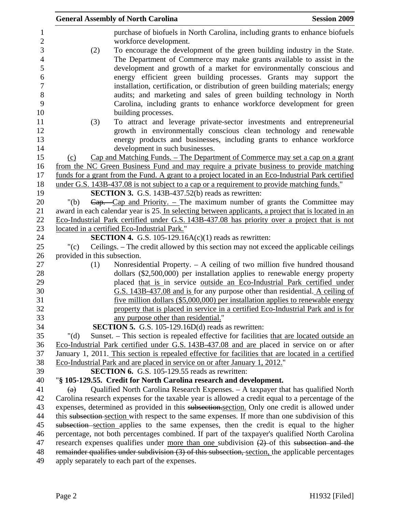|                              | <b>General Assembly of North Carolina</b>                                                                                                                                                        | <b>Session 2009</b> |
|------------------------------|--------------------------------------------------------------------------------------------------------------------------------------------------------------------------------------------------|---------------------|
|                              | purchase of biofuels in North Carolina, including grants to enhance biofuels<br>workforce development.                                                                                           |                     |
| (2)                          | To encourage the development of the green building industry in the State.                                                                                                                        |                     |
|                              | The Department of Commerce may make grants available to assist in the                                                                                                                            |                     |
|                              | development and growth of a market for environmentally conscious and                                                                                                                             |                     |
|                              | energy efficient green building processes. Grants may support the                                                                                                                                |                     |
|                              | installation, certification, or distribution of green building materials; energy                                                                                                                 |                     |
|                              | audits; and marketing and sales of green building technology in North                                                                                                                            |                     |
|                              | Carolina, including grants to enhance workforce development for green                                                                                                                            |                     |
|                              | building processes.                                                                                                                                                                              |                     |
| (3)                          | To attract and leverage private-sector investments and entrepreneurial                                                                                                                           |                     |
|                              | growth in environmentally conscious clean technology and renewable                                                                                                                               |                     |
|                              | energy products and businesses, including grants to enhance workforce                                                                                                                            |                     |
|                              | development in such businesses.                                                                                                                                                                  |                     |
| (c)                          | Cap and Matching Funds. - The Department of Commerce may set a cap on a grant                                                                                                                    |                     |
|                              | from the NC Green Business Fund and may require a private business to provide matching                                                                                                           |                     |
|                              | funds for a grant from the Fund. A grant to a project located in an Eco-Industrial Park certified                                                                                                |                     |
|                              | under G.S. 143B-437.08 is not subject to a cap or a requirement to provide matching funds."                                                                                                      |                     |
|                              | <b>SECTION 3.</b> G.S. 143B-437.52(b) reads as rewritten:                                                                                                                                        |                     |
| " $(b)$                      | $\overline{Cap}$ . -Cap and Priority. - The maximum number of grants the Committee may                                                                                                           |                     |
|                              | award in each calendar year is 25. In selecting between applicants, a project that is located in an                                                                                              |                     |
|                              | Eco-Industrial Park certified under G.S. 143B-437.08 has priority over a project that is not                                                                                                     |                     |
|                              | located in a certified Eco-Industrial Park."                                                                                                                                                     |                     |
|                              | <b>SECTION 4.</b> G.S. 105-129.16A $(c)(1)$ reads as rewritten:                                                                                                                                  |                     |
| "(c)                         | Ceilings. - The credit allowed by this section may not exceed the applicable ceilings                                                                                                            |                     |
| provided in this subsection. |                                                                                                                                                                                                  |                     |
| (1)                          | Nonresidential Property. - A ceiling of two million five hundred thousand                                                                                                                        |                     |
|                              | dollars $(\$2,500,000)$ per installation applies to renewable energy property                                                                                                                    |                     |
|                              | placed that is in service outside an Eco-Industrial Park certified under                                                                                                                         |                     |
|                              | G.S. 143B-437.08 and is for any purpose other than residential. A ceiling of                                                                                                                     |                     |
|                              | five million dollars $(\$5,000,000)$ per installation applies to renewable energy                                                                                                                |                     |
|                              | property that is placed in service in a certified Eco-Industrial Park and is for                                                                                                                 |                     |
|                              | any purpose other than residential."                                                                                                                                                             |                     |
|                              | <b>SECTION 5.</b> G.S. 105-129.16D(d) reads as rewritten:                                                                                                                                        |                     |
| " $(d)$                      | Sunset. – This section is repealed effective for facilities that are located outside an                                                                                                          |                     |
|                              | Eco-Industrial Park certified under G.S. 143B-437.08 and are placed in service on or after<br>January 1, 2011. This section is repealed effective for facilities that are located in a certified |                     |
|                              | Eco-Industrial Park and are placed in service on or after January 1, 2012."                                                                                                                      |                     |
|                              | <b>SECTION 6.</b> G.S. 105-129.55 reads as rewritten:                                                                                                                                            |                     |
|                              | "§ 105-129.55. Credit for North Carolina research and development.                                                                                                                               |                     |
| $\left( a\right)$            | Qualified North Carolina Research Expenses. - A taxpayer that has qualified North                                                                                                                |                     |
|                              | Carolina research expenses for the taxable year is allowed a credit equal to a percentage of the                                                                                                 |                     |
|                              | expenses, determined as provided in this subsection.section. Only one credit is allowed under                                                                                                    |                     |
|                              | this subsection-section with respect to the same expenses. If more than one subdivision of this                                                                                                  |                     |
|                              | subsection section applies to the same expenses, then the credit is equal to the higher                                                                                                          |                     |
|                              | percentage, not both percentages combined. If part of the taxpayer's qualified North Carolina                                                                                                    |                     |
|                              | research expenses qualifies under more than one subdivision $(2)$ of this subsection and the                                                                                                     |                     |
|                              | remainder qualifies under subdivision (3) of this subsection, section, the applicable percentages                                                                                                |                     |
|                              | apply separately to each part of the expenses.                                                                                                                                                   |                     |
|                              |                                                                                                                                                                                                  |                     |